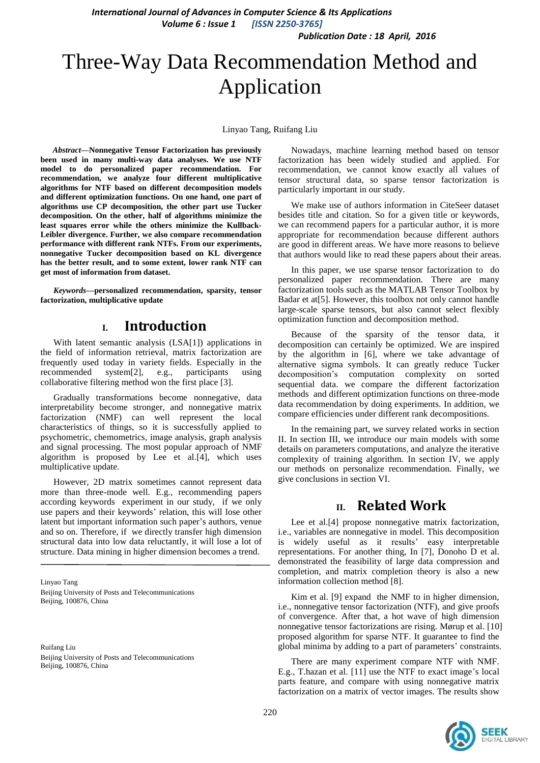*Publication Date : 18 April, 2016*

# Three-Way Data Recommendation Method and Application

Linyao Tang, Ruifang Liu

*Abstract***—Nonnegative Tensor Factorization has previously been used in many multi-way data analyses. We use NTF model to do personalized paper recommendation. For recommendation, we analyze four different multiplicative algorithms for NTF based on different decomposition models and different optimization functions. On one hand, one part of algorithms use CP decomposition, the other part use Tucker decomposition. On the other, half of algorithms minimize the least squares error while the others minimize the Kullback-Leibler divergence. Further, we also compare recommendation performance with different rank NTFs. From our experiments, nonnegative Tucker decomposition based on KL divergence has the better result, and to some extent, lower rank NTF can get most of information from dataset.**

*Keywords—***personalized recommendation, sparsity, tensor factorization, multiplicative update**

# **I. Introduction**

With latent semantic analysis (LS[A\[1\]\)](#page-4-0) applications in the field of information retrieval, matrix factorization are frequently used today in variety fields. Especially in the recommended syste[m\[2\],](#page-4-1) e.g., participants using collaborative filtering method won the first place [\[3\].](#page-4-2)

Gradually transformations become nonnegative, data interpretability become stronger, and nonnegative matrix factorization (NMF) can well represent the local characteristics of things, so it is successfully applied to psychometric, chemometrics, image analysis, graph analysis and signal processing. The most popular approach of NMF algorithm is proposed by Lee et al[.\[4\],](#page-4-3) which uses multiplicative update.

However, 2D matrix sometimes cannot represent data more than three-mode well. E.g., recommending papers according keywords experiment in our study, if we only use papers and their keywords' relation, this will lose other latent but important information such paper's authors, venue and so on. Therefore, if we directly transfer high dimension structural data into low data reluctantly, it will lose a lot of structure. Data mining in higher dimension becomes a trend.

Linyao Tang Beijing University of Posts and Telecommunications Beijing, 100876, China

Ruifang Liu Beijing University of Posts and Telecommunications Beijing, 100876, China

Nowadays, machine learning method based on tensor factorization has been widely studied and applied. For recommendation, we cannot know exactly all values of tensor structural data, so sparse tensor factorization is particularly important in our study.

We make use of authors information in CiteSeer dataset besides title and citation. So for a given title or keywords, we can recommend papers for a particular author, it is more appropriate for recommendation because different authors are good in different areas. We have more reasons to believe that authors would like to read these papers about their areas.

In this paper, we use sparse tensor factorization to do personalized paper recommendation. There are many factorization tools such as the MATLAB Tensor Toolbox by Badar et a[t\[5\].](#page-4-4) However, this toolbox not only cannot handle large-scale sparse tensors, but also cannot select flexibly optimization function and decomposition method.

Because of the sparsity of the tensor data, it decomposition can certainly be optimized. We are inspired by the algorithm in [\[6\],](#page-4-5) where we take advantage of alternative sigma symbols. It can greatly reduce Tucker decomposition's computation complexity on sorted sequential data. we compare the different factorization methods and different optimization functions on three-mode data recommendation by doing experiments. In addition, we compare efficiencies under different rank decompositions.

In the remaining part, we survey related works in section II. In section III, we introduce our main models with some details on parameters computations, and analyze the iterative complexity of training algorithm. In section IV, we apply our methods on personalize recommendation. Finally, we give conclusions in section VI.

# **II. Related Work**

Lee et al[.\[4\]](#page-4-3) propose nonnegative matrix factorization, i.e., variables are nonnegative in model. This decomposition is widely useful as it results' easy interpretable representations. For another thing, In [\[7\],](#page-4-6) Donoho D et al. demonstrated the feasibility of large data compression and completion, and matrix completion theory is also a new information collection method [\[8\].](#page-4-7)

Kim et al. [\[9\]](#page-4-8) expand the NMF to in higher dimension, i.e., nonnegative tensor factorization (NTF), and give proofs of convergence. After that, a hot wave of high dimension nonnegative tensor factorizations are rising. Mørup et al. [\[10\]](#page-4-9) proposed algorithm for sparse NTF. It guarantee to find the global minima by adding to a part of parameters' constraints.

There are many experiment compare NTF with NMF. E.g., T.hazan et al. [\[11\]](#page-4-10) use the NTF to exact image's local parts feature, and compare with using nonnegative matrix factorization on a matrix of vector images. The results show

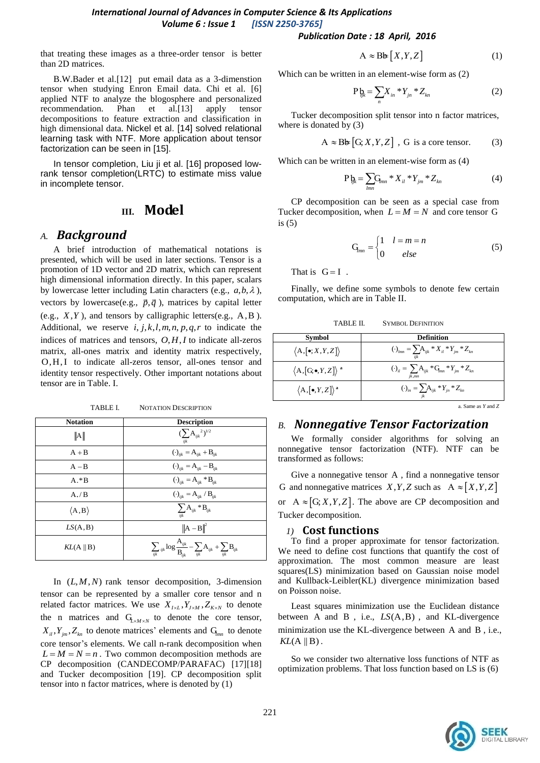#### *Publication Date : 18 April, 2016*

that treating these images as a three-order tensor is better than 2D matrices.

B.W.Bader et al[.\[12\]](#page-4-11) put email data as a 3-dimenstion tensor when studying Enron Email data. Chi et al. [\[6\]](#page-4-5) applied NTF to analyze the blogosphere and personalized recommendation. Phan et a[l.\[13\]](#page-4-12) apply tensor decompositions to feature extraction and classification in high dimensional data. Nickel et al. [\[14\]](#page-4-13) solved relational learning task with NTF. More application about tensor factorization can be seen in [\[15\].](#page-4-14)

In tensor completion, Liu ji et al. [\[16\]](#page-4-15) proposed lowrank tensor completion(LRTC) to estimate miss value in incomplete tensor.

# **III. Model**

### *A. Background*

A brief introduction of mathematical notations is presented, which will be used in later sections. Tensor is a promotion of 1D vector and 2D matrix, which can represent high dimensional information directly. In this paper, scalars by lowercase letter including Latin characters (e.g.,  $a, b, \lambda$ ), vectors by lowercase(e.g.,  $\vec{p}, \vec{q}$ ), matrices by capital letter (e.g.,  $X, Y$ ), and tensors by calligraphic letters(e.g.,  $A, B$ ). Additional, we reserve  $i, j, k, l, m, n, p, q, r$  to indicate the indices of matrices and tensors,  $O, H, I$  to indicate all-zeros matrix, all-ones matrix and identity matrix respectively, O, H, I to indicate all-zeros tensor, all-ones tensor and identity tensor respectively. Other important notations about tensor are in Table. I.

TABLE I. NOTATION DESCRIPTION

| <b>Notation</b>       | <b>Description</b>                                                                                                              |
|-----------------------|---------------------------------------------------------------------------------------------------------------------------------|
| A                     | $(\sum A_{ijk}^{\quad 2})^{1/2}$<br>iik                                                                                         |
| $A + B$               | $(\cdot)_{ijk} = A_{ijk} + B_{ijk}$                                                                                             |
| $A - B$               | $(\cdot)_{ijk} = \mathbf{A}_{ijk} - \mathbf{B}_{ijk}$                                                                           |
| $A.*B$                | $(\cdot)_{ijk} = A_{ijk} * B_{ijk}$                                                                                             |
| A./B                  | $\left(\cdot\right)_{ijk}=\mathbf{A}_{ijk}$ / $\mathbf{B}_{ijk}$                                                                |
| $\langle A,B \rangle$ | $\sum_{ijk} {\bf A}_{ijk}$ * ${\bf B}_{ijk}$                                                                                    |
| LS(A, B)              | $\ \mathbf{A} - \mathbf{B}\ ^2$                                                                                                 |
| $KL(A \parallel B)$   | $\sum_{ijk}{}_{ijk} \log \frac{\mathbf{A}_{ijk}}{\mathbf{B}_{ijk}} - \sum_{ijk} \mathbf{A}_{ijk} + \sum_{ijk} \mathbf{B}_{ijk}$ |

In  $(L, M, N)$  rank tensor decomposition, 3-dimension tensor can be represented by a smaller core tensor and n related factor matrices. We use  $X_{I \times L}$ ,  $Y_{J \times M}$ ,  $Z_{K \times N}$  to denote the n matrices and  $G_{L \times M \times N}$  to denote the core tensor,  $X_{il}$ ,  $Y_{jm}$ ,  $Z_{kn}$  to denote matrices' elements and  $G_{lmn}$  to denote core tensor's elements. We call n-rank decomposition when  $L = M = N = n$ . Two common decomposition methods are CP decomposition (CANDECOMP/PARAFAC) [\[17\]\[18\]](#page-4-16) and Tucker decomposition [\[19\].](#page-4-17) CP decomposition split tensor into n factor matrices, where is denoted by (1)

 $A \approx B \frac{\mathbf{b}}{\mathbf{b}} [X, Y, Z]$  (1)

Which can be written in an element-wise form as (2)

$$
P_{n} = \sum_{n} X_{in} * Y_{in} * Z_{kn}
$$
 (2)

Tucker decomposition split tensor into n factor matrices, where is donated by (3)

$$
A \approx B \phi [G; X, Y, Z], G \text{ is a core tensor.} \tag{3}
$$

Which can be written in an element-wise form as (4)

$$
P_{ik} = \sum_{lmn} G_{lmn} * X_{il} * Y_{jm} * Z_{kn}
$$
 (4)

CP decomposition can be seen as a special case from Tucker decomposition, when  $L = M = N$  and core tensor G is (5)

$$
\mathbf{G}_{mn} = \begin{cases} 1 & l = m = n \\ 0 & else \end{cases}
$$
 (5)

That is  $G = I$ .

Finally, we define some symbols to denote few certain computation, which are in Table II.

TABLE II. SYMBOL DEFINITION

| Symbol                                          | <b>Definition</b>                                                           |
|-------------------------------------------------|-----------------------------------------------------------------------------|
| $\langle A, [\bullet; X, Y, Z] \rangle$         | $\left(\cdot\right)_{lmn} = \sum A_{ijk} * X_{il} * Y_{jm} * Z_{kn}$<br>iik |
| $\langle A,[G,\bullet,Y,Z]\rangle$ <sup>a</sup> | $(\cdot)_{ii} = \sum A_{ijk} * G_{mn} * Y_{jm} * Z_{kn}$<br>ik.mn           |
| $\langle A, [\bullet, Y, Z] \rangle^a$          | $(\cdot)_{in} = \sum A_{ijk} * Y_{jn} * Z_{kn}$                             |

a. Same as *Y* and *Z*

# *B. Nonnegative Tensor Factorization*

We formally consider algorithms for solving an nonnegative tensor factorization (NTF). NTF can be transformed as follows:

Give a nonnegative tensor A , find a nonnegative tensor G and nonnegative matrices  $X, Y, Z$  such as  $A \approx [X, Y, Z]$ or  $A \approx [G, X, Y, Z]$ . The above are CP decomposition and Tucker decomposition.

#### *1)* **Cost functions**

To find a proper approximate for tensor factorization. We need to define cost functions that quantify the cost of approximation. The most common measure are least squares(LS) minimization based on Gaussian noise model and Kullback-Leibler(KL) divergence minimization based on Poisson noise.

Least squares minimization use the Euclidean distance between A and B, i.e.,  $LS(A, B)$ , and KL-divergence minimization use the KL-divergence between A and B, i.e.,  $KL(A \parallel B)$ .

So we consider two alternative loss functions of NTF as optimization problems. That loss function based on LS is (6)

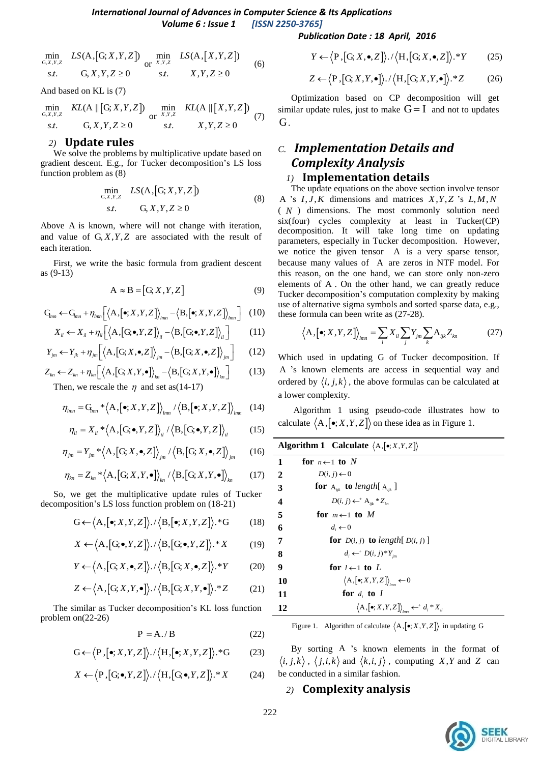*Publication Date : 18 April, 2016*

$$
\min_{\substack{G,X,Y,Z\\ \text{S},L}} LS(A,[G;X,Y,Z]) \min_{\substack{X,Y,Z\\ \text{S},L}} LS(A,[X,Y,Z])
$$
\n(6)

And based on KL is (7)

$$
\min_{G,X,Y,Z} \quad KL(A \parallel [G; X, Y, Z]) \quad \min_{\substack{X,Y,Z \\ S.t.}} \quad KL(A \parallel [X,Y,Z])
$$
\n
$$
f, Y, Z \ge 0
$$
\n
$$
f, Y, Z \ge 0
$$
\n
$$
f, Y, Z \ge 0
$$
\n
$$
(7)
$$

#### *2)* **Update rules**

We solve the problems by multiplicative update based on gradient descent. E.g., for Tucker decomposition's LS loss function problem as (8)

$$
\min_{\substack{G,X,Y,Z\\S.t.}} LS(A,[G;X,Y,Z])
$$
\n
$$
(8)
$$

Above A is known, where will not change with iteration, and value of  $G, X, Y, Z$  are associated with the result of each iteration.

First, we write the basic formula from gradient descent as (9-13)

$$
A \approx B = [G, X, Y, Z]
$$
 (9)

$$
\mathbf{G}_{mn} \leftarrow \mathbf{G}_{mn} + \eta_{lmn} \left[ \left\langle \mathbf{A}, [\bullet; X, Y, Z] \right\rangle_{lmn} - \left\langle \mathbf{B}, [\bullet; X, Y, Z] \right\rangle_{lmn} \right] \tag{10}
$$

$$
X_{ij} \leftarrow \mathbf{G}_{mn} + \eta_{lmn} \left[ \langle \mathbf{A}, [\mathbf{G}, \bullet, Y, Z] \rangle_{lmn} - \langle \mathbf{B}, [\bullet, \mathbf{A}, Y, Z] \rangle_{lmn} \right] \tag{10}
$$
  

$$
X_{il} \leftarrow X_{il} + \eta_{il} \left[ \langle \mathbf{A}, [\mathbf{G}, \bullet, Y, Z] \rangle_{il} - \langle \mathbf{B}, [\mathbf{G}, \bullet, Y, Z] \rangle_{il} \right] \tag{11}
$$

$$
X_{il} \leftarrow X_{il} + \eta_{il} \left[ \left\langle A, [\mathbf{G}, \mathbf{V}, \mathbf{V}, Z] \right\rangle_{il} - \left\langle B, [\mathbf{G}, \mathbf{V}, \mathbf{V}, Z] \right\rangle_{il} \right] \tag{11}
$$
\n
$$
Y_{jm} \leftarrow Y_{jk} + \eta_{jm} \left[ \left\langle A, [\mathbf{G}, X, \bullet, Z] \right\rangle_{jm} - \left\langle B, [\mathbf{G}, X, \bullet, Z] \right\rangle_{jm} \right] \tag{12}
$$
\n
$$
Z_{kn} \leftarrow Z_{kn} + \eta_{kn} \left[ \left\langle A, [\mathbf{G}, X, Y, \bullet] \right\rangle_{kn} - \left\langle B, [\mathbf{G}, X, Y, \bullet] \right\rangle_{kn} \right] \tag{13}
$$

$$
I_{jm} \leftarrow I_{jk} + \eta_{jm} [\langle A, [G, \Lambda, \bullet, \Sigma] \rangle_{jm} - \langle B, [G, \Lambda, \bullet, \Sigma] \rangle_{jm}] \qquad (12)
$$
  

$$
Z_{kn} \leftarrow Z_{kn} + \eta_{kn} [\langle A, [G, X, Y, \bullet] \rangle_{kn} - \langle B, [G, X, Y, \bullet] \rangle_{kn}] \qquad (13)
$$
  
Then we rescale the *n* and set as (14-17)

Then, we rescale the  $\eta$  and set as (14-17)

$$
\eta_{lmn} = G_{lmn} * \langle A, [\bullet; X, Y, Z] \rangle_{lmn} / \langle B, [\bullet; X, Y, Z] \rangle_{lmn} \quad (14)
$$

$$
\eta_{il} = X_{il} * \langle A, [G, \bullet, Y, Z] \rangle_{il} / \langle B, [G, \bullet, Y, Z] \rangle_{il}
$$
(15)

$$
\eta_{jm} = Y_{jm} * \langle A, [G; X, \bullet, Z] \rangle_{jm} / \langle B, [G; X, \bullet, Z] \rangle_{jm}
$$
 (16)

$$
\eta_{kn} = Z_{kn} * \langle A, [G; X, Y, \bullet] \rangle_{kn} / \langle B, [G; X, Y, \bullet] \rangle_{kn}
$$
(17)

So, we get the multiplicative update rules of Tucker decomposition's LS loss function problem on (18-21)

$$
G \leftarrow \left\langle A, [\bullet; X, Y, Z] \right\rangle. / \left\langle B, [\bullet; X, Y, Z] \right\rangle. * G \tag{18}
$$

$$
X \leftarrow \left\langle A, [G, \bullet, Y, Z] \right\rangle. / \left\langle B, [G, \bullet, Y, Z] \right\rangle. * X \tag{19}
$$

$$
Y \leftarrow \left\langle A, [G; X, \bullet, Z] \right\rangle. / \left\langle B, [G; X, \bullet, Z] \right\rangle. * Y \tag{20}
$$

$$
Z \leftarrow \left\langle A, [G, X, Y, \bullet] \right\rangle. / \left\langle B, [G, X, Y, \bullet] \right\rangle. * Z \tag{21}
$$

The similar as Tucker decomposition's KL loss function problem on(22-26)

$$
P = A./B
$$
 (22)

$$
G \leftarrow \left\langle P, [\bullet; X, Y, Z] \right\rangle. / \left\langle H, [\bullet; X, Y, Z] \right\rangle. *G \tag{23}
$$

$$
X \leftarrow \left\langle P, [G; \bullet, Y, Z] \right\rangle. / \left\langle H, [G; \bullet, Y, Z] \right\rangle. * X \tag{24}
$$

$$
Y \leftarrow \left\langle P, [G; X, \bullet, Z] \right\rangle. / \left\langle H, [G; X, \bullet, Z] \right\rangle. * Y \tag{25}
$$

$$
Z \leftarrow \left\langle P, [G; X, Y, \bullet] \right\rangle \cdot \left\langle H, [G; X, Y, \bullet] \right\rangle. * Z \tag{26}
$$

Optimization based on CP decomposition will get similar update rules, just to make  $G = I$  and not to updates G.

# *C. Implementation Details and Complexity Analysis*

# *1)* **Implementation details**

The update equations on the above section involve tensor A 's  $I, J, K$  dimensions and matrices  $X, Y, Z$  's  $L, M, N$ ( *N* ) dimensions. The most commonly solution need six(four) cycles complexity at least in Tucker(CP) decomposition. It will take long time on updating parameters, especially in Tucker decomposition. However, we notice the given tensor A is a very sparse tensor, because many values of A are zeros in NTF model. For this reason, on the one hand, we can store only non-zero elements of A . On the other hand, we can greatly reduce Tucker decomposition's computation complexity by making use of alternative sigma symbols and sorted sparse data, e.g.,

these formula can been write as (27-28).  
\n
$$
\langle A, [\bullet; X, Y, Z] \rangle_{lmn} = \sum_{i} X_{il} \sum_{j} Y_{jm} \sum_{k} A_{ijk} Z_{kn}
$$
\n(27)

Which used in updating G of Tucker decomposition. If A 's known elements are access in sequential way and ordered by  $\langle i, j, k \rangle$ , the above formulas can be calculated at a lower complexity.

Algorithm 1 using pseudo-code illustrates how to calculate  $\langle A, [\bullet; X, Y, Z] \rangle$  on these idea as in Figure 1.

| <b>Algorithm 1</b> Calculate $\langle A, [\bullet; X, Y, Z] \rangle$ |                                                                               |
|----------------------------------------------------------------------|-------------------------------------------------------------------------------|
| 1                                                                    | for $n \leftarrow 1$ to N                                                     |
| 2                                                                    | $D(i, j) \leftarrow 0$                                                        |
| 3                                                                    | <b>for</b> $A_{ijk}$ <b>to</b> length[ $A_{ijk}$ ]                            |
| 4                                                                    | $D(i, j) \leftarrow^+ A_{ii} * Z_{i_n}$                                       |
| 5                                                                    | for $m \leftarrow 1$ to M                                                     |
| 6                                                                    | $d_i \leftarrow 0$                                                            |
| 7                                                                    | <b>for</b> $D(i, j)$ <b>to</b> length $D(i, j)$                               |
| 8                                                                    | $d_i \leftarrow^{\scriptscriptstyle +} D(i,j)^* Y_{\scriptscriptstyle \dots}$ |
| 9                                                                    | for $l \leftarrow 1$ to L                                                     |
| 10                                                                   | $\langle A, [\bullet; X, Y, Z] \rangle \longrightarrow 0$                     |
| 11                                                                   | for $d_i$ to I                                                                |
| 12                                                                   | $\langle A, [\bullet;X,Y,Z] \rangle_{\text{max}} \leftarrow^* d_i * X_i$      |

Figure 1. Algorithm of calculate  $\langle A, [\bullet; X, Y, Z] \rangle$  in updating G

By sorting A 's known elements in the format of  $\langle i, j, k \rangle$ ,  $\langle j, i, k \rangle$  and  $\langle k, i, j \rangle$ , computing X,Y and Z can be conducted in a similar fashion.

#### *2)* **Complexity analysis**

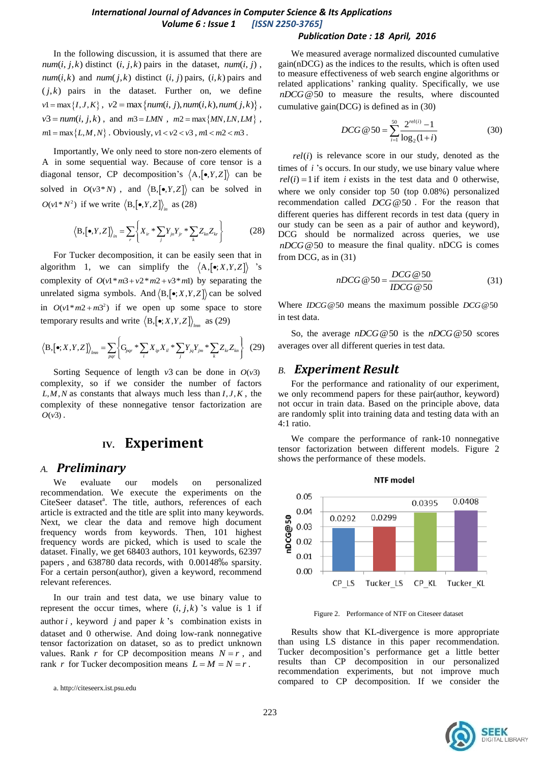#### *Publication Date : 18 April, 2016*

In the following discussion, it is assumed that there are  $num(i, j, k)$  distinct  $(i, j, k)$  pairs in the dataset,  $num(i, j)$ ,  $num(i, k)$  and  $num(j, k)$  distinct  $(i, j)$  pairs,  $(i, k)$  pairs and  $(j, k)$  pairs in the dataset. Further on, we define  $v1 = \max\{I, J, K\}, v2 = \max\{num(i, j), num(i, k), num(j, k)\},$  $v3 = num(i, j, k)$ , and  $m3 = LMN$ ,  $m2 = max\{MN, LN, LM\}$ ,  $m1 = \max\{L, M, N\}$ . Obviously,  $v1 < v2 < v3$ ,  $m1 < m2 < m3$ .

Importantly, We only need to store non-zero elements of A in some sequential way. Because of core tensor is a diagonal tensor, CP decomposition's  $\langle A, [\bullet, Y, Z] \rangle$  can be solved in  $O(v3*N)$ , and  $\langle B, [\bullet, Y, Z] \rangle$  can be solved in  $O(v1*N^2)$  if we write  $\langle B, [\bullet, Y, Z] \rangle_{in}$  as (28)

$$
\langle \mathbf{B}, [\bullet, Y, Z] \rangle_{in} = \sum_{r} \left\{ X_{ir} * \sum_{j} Y_{jn} Y_{jr} * \sum_{k} Z_{kn} Z_{kr} \right\}
$$
(28)

For Tucker decomposition, it can be easily seen that in algorithm 1, we can simplify the  $\langle A, [\bullet; X, Y, Z] \rangle$  's complexity of  $O(v^1 * m^2 + v^2 * m^2 + v^3 * m)$  by separating the unrelated sigma symbols. And  $\langle B, [\bullet; X, Y, Z] \rangle$  can be solved in  $O(v^1 * m^2 + m^2)$  if we open up some space to store

temporary results and write 
$$
\langle B, [\bullet; X, Y, Z] \rangle_{lmn}
$$
 as (29)  

$$
\langle B, [\bullet; X, Y, Z] \rangle_{lmn} = \sum_{pqr} \left\{ G_{pqr} * \sum_{i} X_{ip} X_{il} * \sum_{j} Y_{jq} Y_{jm} * \sum_{k} Z_{kr} Z_{kn} \right\}
$$
(29)

Sorting Sequence of length  $v3$  can be done in  $O(v3)$ complexity, so if we consider the number of factors  $L, M, N$  as constants that always much less than  $I, J, K$ , the complexity of these nonnegative tensor factorization are  $O(v3)$ .

# **IV. Experiment**

#### *A. Preliminary*

evaluate our models on personalized recommendation. We execute the experiments on the CiteSeer dataset<sup>a</sup>. The title, authors, references of each article is extracted and the title are split into many keywords. Next, we clear the data and remove high document frequency words from keywords. Then, 101 highest frequency words are picked, which is used to scale the dataset. Finally, we get 68403 authors, 101 keywords, 62397 papers , and 638780 data records, with 0.00148‰ sparsity. For a certain person(author), given a keyword, recommend relevant references.

In our train and test data, we use binary value to represent the occur times, where  $(i, j, k)$  's value is 1 if author  $i$ , keyword  $j$  and paper  $k$  's combination exists in dataset and 0 otherwise. And doing low-rank nonnegative tensor factorization on dataset, so as to predict unknown values. Rank *r* for CP decomposition means  $N = r$ , and rank *r* for Tucker decomposition means  $L = M = N = r$ .

We measured average normalized discounted cumulative gain(nDCG) as the indices to the results, which is often used to measure effectiveness of web search engine algorithms or related applications' ranking quality. Specifically, we use *nDCG*@50 to measure the results, where discounted cumulative gain(DCG) is defined as in (30)

$$
DCG \t@ 50 = \sum_{i=1}^{50} \frac{2^{rel(i)} - 1}{\log_2(1+i)}
$$
(30)

 $rel(i)$  is relevance score in our study, denoted as the times of *i* 's occurs. In our study, we use binary value where  $rel(i) = 1$  if item *i* exists in the test data and 0 otherwise, where we only consider top 50 (top 0.08%) personalized recommendation called *DCG*@50 . For the reason that different queries has different records in test data (query in our study can be seen as a pair of author and keyword), DCG should be normalized across queries, we use *nDCG*@50 to measure the final quality. nDCG is comes from DCG, as in (31)

$$
nDCG \t@ 50 = \frac{DCG \t@ 50}{IDCG \t@ 50} \tag{31}
$$

Where *IDCG*@50 means the maximum possible *DCG*@50 in test data.

So, the average *nDCG*@50 is the *nDCG*@50 scores averages over all different queries in test data.

#### *B. Experiment Result*

For the performance and rationality of our experiment, we only recommend papers for these pair(author, keyword) not occur in train data. Based on the principle above, data are randomly split into training data and testing data with an 4:1 ratio.

We compare the performance of rank-10 nonnegative tensor factorization between different models. Figure 2 shows the performance of these models.



Figure 2. Performance of NTF on Citeseer dataset

Results show that KL-divergence is more appropriate than using LS distance in this paper recommendation. Tucker decomposition's performance get a little better results than CP decomposition in our personalized recommendation experiments, but not improve much compared to CP decomposition. If we consider the



a. http://citeseerx.ist.psu.edu